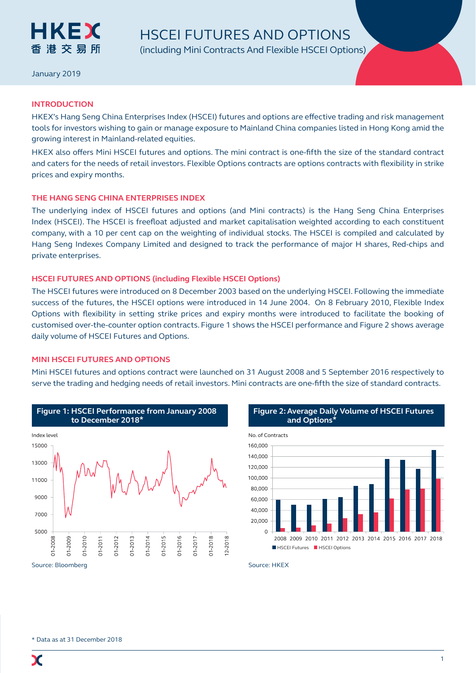

January 2019

# **INTRODUCTION**

HKEX's Hang Seng China Enterprises Index (HSCEI) futures and options are effective trading and risk management tools for investors wishing to gain or manage exposure to Mainland China companies listed in Hong Kong amid the growing interest in Mainland-related equities.

HKEX also offers Mini HSCEI futures and options. The mini contract is one-fifth the size of the standard contract and caters for the needs of retail investors. Flexible Options contracts are options contracts with flexibility in strike prices and expiry months.

# **THE HANG SENG CHINA ENTERPRISES INDEX**

The underlying index of HSCEI futures and options (and Mini contracts) is the Hang Seng China Enterprises Index (HSCEI). The HSCEI is freefloat adjusted and market capitalisation weighted according to each constituent company, with a 10 per cent cap on the weighting of individual stocks. The HSCEI is compiled and calculated by Hang Seng Indexes Company Limited and designed to track the performance of major H shares, Red-chips and private enterprises.

# **HSCEI FUTURES AND OPTIONS (including Flexible HSCEI Options)**

The HSCEI futures were introduced on 8 December 2003 based on the underlying HSCEI. Following the immediate success of the futures, the HSCEI options were introduced in 14 June 2004. On 8 February 2010, Flexible Index Options with flexibility in setting strike prices and expiry months were introduced to facilitate the booking of customised over-the-counter option contracts. Figure 1 shows the HSCEI performance and Figure 2 shows average daily volume of HSCEI Futures and Options.

# **MINI HSCEI FUTURES AND OPTIONS**

Mini HSCEI futures and options contract were launched on 31 August 2008 and 5 September 2016 respectively to serve the trading and hedging needs of retail investors. Mini contracts are one-fifth the size of standard contracts.





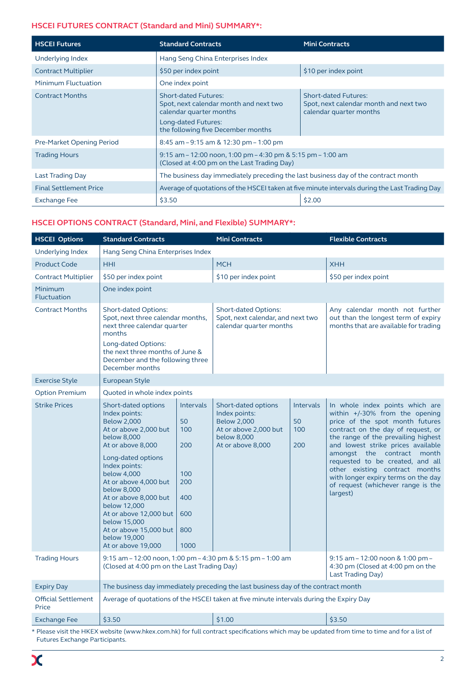# **HSCEI FUTURES CONTRACT (Standard and Mini) SUMMARY\*:**

| <b>HSCEI Futures</b>          | <b>Standard Contracts</b>                                                                                                                                     | <b>Mini Contracts</b>                                                                            |  |
|-------------------------------|---------------------------------------------------------------------------------------------------------------------------------------------------------------|--------------------------------------------------------------------------------------------------|--|
| Underlying Index              | Hang Seng China Enterprises Index                                                                                                                             |                                                                                                  |  |
| <b>Contract Multiplier</b>    | \$50 per index point                                                                                                                                          | \$10 per index point                                                                             |  |
| Minimum Fluctuation           | One index point                                                                                                                                               |                                                                                                  |  |
| <b>Contract Months</b>        | <b>Short-dated Futures:</b><br>Spot, next calendar month and next two<br>calendar quarter months<br>Long-dated Futures:<br>the following five December months | <b>Short-dated Futures:</b><br>Spot, next calendar month and next two<br>calendar quarter months |  |
| Pre-Market Opening Period     | 8:45 am $-9:15$ am & 12:30 pm $-1:00$ pm                                                                                                                      |                                                                                                  |  |
| <b>Trading Hours</b>          | 9:15 am $-$ 12:00 noon, 1:00 pm $-$ 4:30 pm & 5:15 pm $-$ 1:00 am<br>(Closed at 4:00 pm on the Last Trading Day)                                              |                                                                                                  |  |
| <b>Last Trading Day</b>       | The business day immediately preceding the last business day of the contract month                                                                            |                                                                                                  |  |
| <b>Final Settlement Price</b> | Average of quotations of the HSCEI taken at five minute intervals during the Last Trading Day                                                                 |                                                                                                  |  |
| Exchange Fee                  | \$3.50                                                                                                                                                        | \$2.00                                                                                           |  |

# **HSCEI OPTIONS CONTRACT (Standard, Mini, and Flexible) SUMMARY\*:**

| <b>HSCEI Options</b>                | <b>Standard Contracts</b>                                                                                                                                                                                                                                                                                                                                                |                                                                                 | <b>Mini Contracts</b>                                                                                                   |                               | <b>Flexible Contracts</b>                                                                                                                                                                                                                                                                                                                                                                                            |  |
|-------------------------------------|--------------------------------------------------------------------------------------------------------------------------------------------------------------------------------------------------------------------------------------------------------------------------------------------------------------------------------------------------------------------------|---------------------------------------------------------------------------------|-------------------------------------------------------------------------------------------------------------------------|-------------------------------|----------------------------------------------------------------------------------------------------------------------------------------------------------------------------------------------------------------------------------------------------------------------------------------------------------------------------------------------------------------------------------------------------------------------|--|
| Underlying Index                    | Hang Seng China Enterprises Index                                                                                                                                                                                                                                                                                                                                        |                                                                                 |                                                                                                                         |                               |                                                                                                                                                                                                                                                                                                                                                                                                                      |  |
| <b>Product Code</b>                 | <b>HHI</b>                                                                                                                                                                                                                                                                                                                                                               |                                                                                 | <b>MCH</b>                                                                                                              |                               | <b>XHH</b>                                                                                                                                                                                                                                                                                                                                                                                                           |  |
| <b>Contract Multiplier</b>          | \$50 per index point                                                                                                                                                                                                                                                                                                                                                     |                                                                                 | \$10 per index point                                                                                                    |                               | \$50 per index point                                                                                                                                                                                                                                                                                                                                                                                                 |  |
| Minimum<br>Fluctuation              | One index point                                                                                                                                                                                                                                                                                                                                                          |                                                                                 |                                                                                                                         |                               |                                                                                                                                                                                                                                                                                                                                                                                                                      |  |
| <b>Contract Months</b>              | <b>Short-dated Options:</b><br>Spot, next three calendar months,<br>next three calendar quarter<br>months<br>Long-dated Options:<br>the next three months of June &<br>December and the following three<br>December months                                                                                                                                               |                                                                                 | <b>Short-dated Options:</b><br>Spot, next calendar, and next two<br>calendar quarter months                             |                               | Any calendar month not further<br>out than the longest term of expiry<br>months that are available for trading                                                                                                                                                                                                                                                                                                       |  |
| <b>Exercise Style</b>               | European Style                                                                                                                                                                                                                                                                                                                                                           |                                                                                 |                                                                                                                         |                               |                                                                                                                                                                                                                                                                                                                                                                                                                      |  |
| <b>Option Premium</b>               | Quoted in whole index points                                                                                                                                                                                                                                                                                                                                             |                                                                                 |                                                                                                                         |                               |                                                                                                                                                                                                                                                                                                                                                                                                                      |  |
| <b>Strike Prices</b>                | Short-dated options<br>Index points:<br><b>Below 2,000</b><br>At or above 2,000 but<br>below 8,000<br>At or above 8,000<br>Long-dated options<br>Index points:<br>below 4,000<br>At or above 4,000 but<br>below 8,000<br>At or above 8,000 but<br>below 12,000<br>At or above 12,000 but<br>below 15,000<br>At or above 15,000 but<br>below 19,000<br>At or above 19,000 | <b>Intervals</b><br>50<br>100<br>200<br>100<br>200<br>400<br>600<br>800<br>1000 | Short-dated options<br>Index points:<br><b>Below 2,000</b><br>At or above 2,000 but<br>below 8,000<br>At or above 8,000 | Intervals<br>50<br>100<br>200 | In whole index points which are<br>within +/-30% from the opening<br>price of the spot month futures<br>contract on the day of request, or<br>the range of the prevailing highest<br>and lowest strike prices available<br>amongst the contract month<br>requested to be created, and all<br>other existing contract months<br>with longer expiry terms on the day<br>of request (whichever range is the<br>largest) |  |
| <b>Trading Hours</b>                | 9:15 am - 12:00 noon, 1:00 pm - 4:30 pm & 5:15 pm - 1:00 am<br>9:15 am - 12:00 noon & 1:00 pm -<br>(Closed at 4:00 pm on the Last Trading Day)<br>4:30 pm (Closed at 4:00 pm on the<br>Last Trading Day)                                                                                                                                                                 |                                                                                 |                                                                                                                         |                               |                                                                                                                                                                                                                                                                                                                                                                                                                      |  |
| <b>Expiry Day</b>                   | The business day immediately preceding the last business day of the contract month                                                                                                                                                                                                                                                                                       |                                                                                 |                                                                                                                         |                               |                                                                                                                                                                                                                                                                                                                                                                                                                      |  |
| <b>Official Settlement</b><br>Price | Average of quotations of the HSCEI taken at five minute intervals during the Expiry Day                                                                                                                                                                                                                                                                                  |                                                                                 |                                                                                                                         |                               |                                                                                                                                                                                                                                                                                                                                                                                                                      |  |
| Exchange Fee                        | \$3.50                                                                                                                                                                                                                                                                                                                                                                   |                                                                                 | \$1.00                                                                                                                  |                               | \$3.50                                                                                                                                                                                                                                                                                                                                                                                                               |  |

\* Please visit the HKEX website (www.hkex.com.hk) for full contract specifications which may be updated from time to time and for a list of Futures Exchange Participants.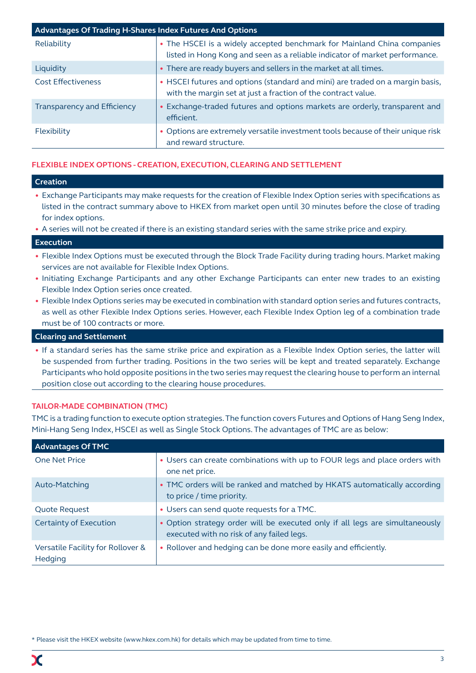| <b>Advantages Of Trading H-Shares Index Futures And Options</b> |                                                                                                                                                        |  |  |  |
|-----------------------------------------------------------------|--------------------------------------------------------------------------------------------------------------------------------------------------------|--|--|--|
| Reliability                                                     | • The HSCEI is a widely accepted benchmark for Mainland China companies<br>listed in Hong Kong and seen as a reliable indicator of market performance. |  |  |  |
| Liquidity                                                       | • There are ready buyers and sellers in the market at all times.                                                                                       |  |  |  |
| <b>Cost Effectiveness</b>                                       | • HSCEI futures and options (standard and mini) are traded on a margin basis,<br>with the margin set at just a fraction of the contract value.         |  |  |  |
| Transparency and Efficiency                                     | • Exchange-traded futures and options markets are orderly, transparent and<br>efficient.                                                               |  |  |  |
| Flexibility                                                     | • Options are extremely versatile investment tools because of their unique risk<br>and reward structure.                                               |  |  |  |

# **FLEXIBLE INDEX OPTIONS - CREATION, EXECUTION, CLEARING AND SETTLEMENT**

# **Creation**

- Exchange Participants may make requests for the creation of Flexible Index Option series with specifications as listed in the contract summary above to HKEX from market open until 30 minutes before the close of trading for index options.
- A series will not be created if there is an existing standard series with the same strike price and expiry.

# **Execution**

- Flexible Index Options must be executed through the Block Trade Facility during trading hours. Market making services are not available for Flexible Index Options.
- Initiating Exchange Participants and any other Exchange Participants can enter new trades to an existing Flexible Index Option series once created.
- Flexible Index Options series may be executed in combination with standard option series and futures contracts, as well as other Flexible Index Options series. However, each Flexible Index Option leg of a combination trade must be of 100 contracts or more.

# **Clearing and Settlement**

• If a standard series has the same strike price and expiration as a Flexible Index Option series, the latter will be suspended from further trading. Positions in the two series will be kept and treated separately. Exchange Participants who hold opposite positions in the two series may request the clearing house to perform an internal position close out according to the clearing house procedures.

# **TAILOR-MADE COMBINATION (TMC)**

TMC is a trading function to execute option strategies. The function covers Futures and Options of Hang Seng Index, Mini-Hang Seng Index, HSCEI as well as Single Stock Options. The advantages of TMC are as below:

| <b>Advantages Of TMC</b>                     |                                                                                                                           |
|----------------------------------------------|---------------------------------------------------------------------------------------------------------------------------|
| One Net Price                                | • Users can create combinations with up to FOUR legs and place orders with<br>one net price.                              |
| Auto-Matching                                | • TMC orders will be ranked and matched by HKATS automatically according<br>to price / time priority.                     |
| <b>Quote Request</b>                         | • Users can send quote requests for a TMC.                                                                                |
| Certainty of Execution                       | • Option strategy order will be executed only if all legs are simultaneously<br>executed with no risk of any failed legs. |
| Versatile Facility for Rollover &<br>Hedging | • Rollover and hedging can be done more easily and efficiently.                                                           |

\* Please visit the HKEX website (www.hkex.com.hk) for details which may be updated from time to time.